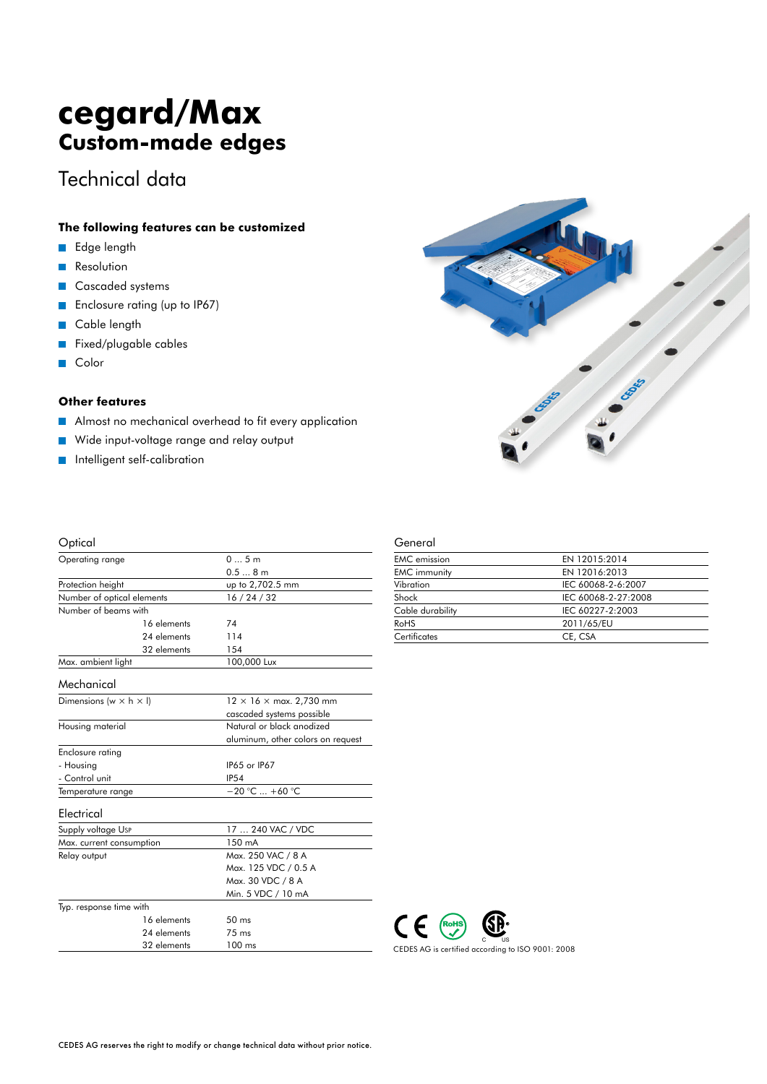# **cegard/Max Custom-made edges**

## Technical data

#### **The following features can be customized**

- Edge length  $\overline{\phantom{a}}$
- **Resolution**
- Cascaded systems  $\overline{\phantom{a}}$
- Enclosure rating (up to IP67)  $\overline{\mathbb{R}^n}$
- Cable length  $\overline{\phantom{a}}$
- Fixed/plugable cables  $\overline{\mathbb{R}^n}$
- Color **T**

#### **Other features**

- Almost no mechanical overhead to fit every application  $\overline{\phantom{a}}$
- Wide input-voltage range and relay output  $\mathcal{L}_{\mathcal{A}}$
- Intelligent self-calibration  $\overline{\phantom{a}}$

| Optical                              |                                                     |
|--------------------------------------|-----------------------------------------------------|
| Operating range                      | 05m                                                 |
|                                      | 0.58m                                               |
| Protection height                    | up to 2,702.5 mm                                    |
| Number of optical elements           | 16/24/32                                            |
| Number of beams with                 |                                                     |
| 16 elements                          | 74                                                  |
| 24 elements                          | 114                                                 |
| 32 elements                          | 154                                                 |
| Max. ambient light                   | 100,000 Lux                                         |
| Mechanical                           |                                                     |
| Dimensions (w $\times$ h $\times$ l) | $12 \times 16 \times \text{max. } 2,730 \text{ mm}$ |
|                                      | cascaded systems possible                           |
| Housing material                     | Natural or black anodized                           |
|                                      | aluminum, other colors on request                   |
| Enclosure rating                     |                                                     |
| - Housing                            | IP65 or IP67                                        |
| - Control unit                       | <b>IP54</b>                                         |
| Temperature range                    | $-20$ °C $ +60$ °C                                  |
| Electrical                           |                                                     |
| Supply voltage Usp                   | 17  240 VAC / VDC                                   |
| Max. current consumption             | 150 mA                                              |
| Relay output                         | Max. 250 VAC / 8 A                                  |
|                                      | Max. 125 VDC / 0.5 A                                |
|                                      | Max. 30 VDC / 8 A                                   |
|                                      | Min. 5 VDC / 10 mA                                  |
| Typ. response time with              |                                                     |
| 16 elements                          | 50 <sub>ms</sub>                                    |
| 24 elements                          | $75 \text{ ms}$                                     |
| 32 elements                          | $100$ ms                                            |

#### General

| <b>EMC</b> emission | EN 12015:2014       |
|---------------------|---------------------|
| <b>EMC</b> immunity | EN 12016:2013       |
| Vibration           | IEC 60068-2-6:2007  |
| Shock               | IEC 60068-2-27:2008 |
| Cable durability    | IEC 60227-2:2003    |
| RoHS                | 2011/65/EU          |
| Certificates        | CE, CSA             |
|                     |                     |